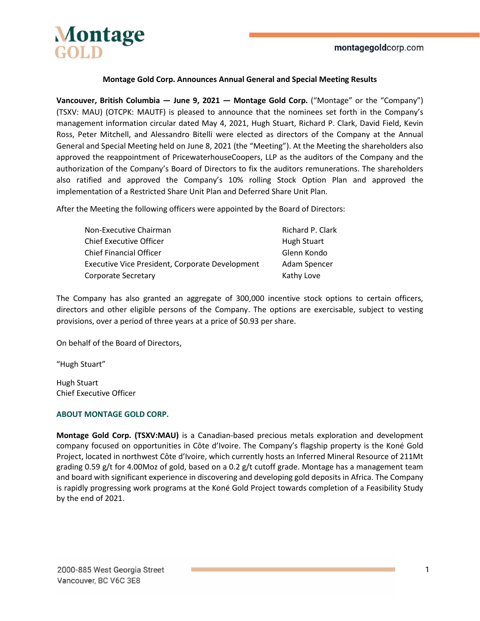

## **Montage Gold Corp. Announces Annual General and Special Meeting Results**

**Vancouver, British Columbia — June 9, 2021 — Montage Gold Corp.** ("Montage" or the "Company") (TSXV: MAU) (OTCPK: MAUTF) is pleased to announce that the nominees set forth in the Company's management information circular dated May 4, 2021, Hugh Stuart, Richard P. Clark, David Field, Kevin Ross, Peter Mitchell, and Alessandro Bitelli were elected as directors of the Company at the Annual General and Special Meeting held on June 8, 2021 (the "Meeting"). At the Meeting the shareholders also approved the reappointment of PricewaterhouseCoopers, LLP as the auditors of the Company and the authorization of the Company's Board of Directors to fix the auditors remunerations. The shareholders also ratified and approved the Company's 10% rolling Stock Option Plan and approved the implementation of a Restricted Share Unit Plan and Deferred Share Unit Plan.

After the Meeting the following officers were appointed by the Board of Directors:

| Non-Executive Chairman                          | Richard P. Clark |
|-------------------------------------------------|------------------|
| <b>Chief Executive Officer</b>                  | Hugh Stuart      |
| <b>Chief Financial Officer</b>                  | Glenn Kondo      |
| Executive Vice President, Corporate Development | Adam Spencer     |
| Corporate Secretary                             | Kathy Love       |

The Company has also granted an aggregate of 300,000 incentive stock options to certain officers, directors and other eligible persons of the Company. The options are exercisable, subject to vesting provisions, over a period of three years at a price of \$0.93 per share.

On behalf of the Board of Directors,

"Hugh Stuart"

Hugh Stuart Chief Executive Officer

### **ABOUT MONTAGE GOLD CORP.**

**Montage Gold Corp. (TSXV:MAU)** is a Canadian-based precious metals exploration and development company focused on opportunities in Côte d'Ivoire. The Company's flagship property is the Koné Gold Project, located in northwest Côte d'Ivoire, which currently hosts an Inferred Mineral Resource of 211Mt grading 0.59 g/t for 4.00Moz of gold, based on a 0.2 g/t cutoff grade. Montage has a management team and board with significant experience in discovering and developing gold deposits in Africa. The Company is rapidly progressing work programs at the Koné Gold Project towards completion of a Feasibility Study by the end of 2021.